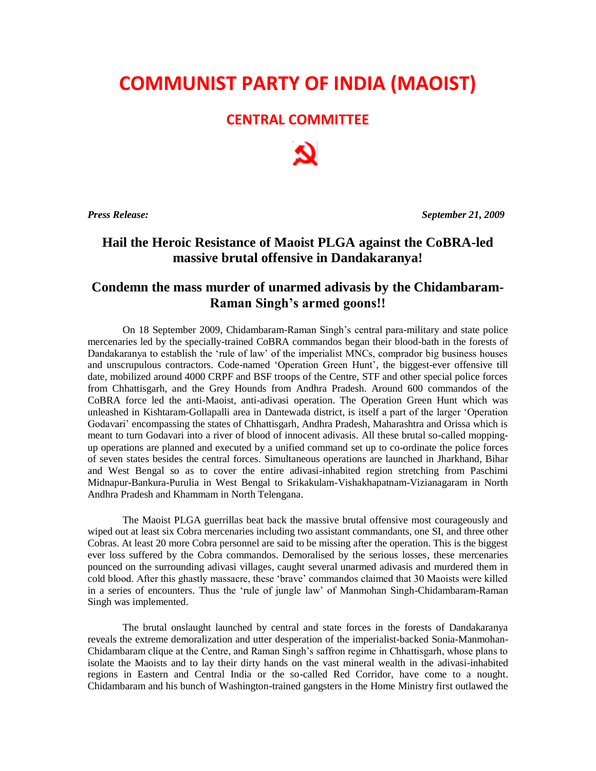## **COMMUNIST PARTY OF INDIA (MAOIST)**

## **CENTRAL COMMITTEE**

*Press Release: September 21, 2009*

## **Hail the Heroic Resistance of Maoist PLGA against the CoBRA-led massive brutal offensive in Dandakaranya!**

## **Condemn the mass murder of unarmed adivasis by the Chidambaram-Raman Singh's armed goons!!**

On 18 September 2009, Chidambaram-Raman Singh's central para-military and state police mercenaries led by the specially-trained CoBRA commandos began their blood-bath in the forests of Dandakaranya to establish the 'rule of law' of the imperialist MNCs, comprador big business houses and unscrupulous contractors. Code-named 'Operation Green Hunt', the biggest-ever offensive till date, mobilized around 4000 CRPF and BSF troops of the Centre, STF and other special police forces from Chhattisgarh, and the Grey Hounds from Andhra Pradesh. Around 600 commandos of the CoBRA force led the anti-Maoist, anti-adivasi operation. The Operation Green Hunt which was unleashed in Kishtaram-Gollapalli area in Dantewada district, is itself a part of the larger 'Operation Godavari' encompassing the states of Chhattisgarh, Andhra Pradesh, Maharashtra and Orissa which is meant to turn Godavari into a river of blood of innocent adivasis. All these brutal so-called moppingup operations are planned and executed by a unified command set up to co-ordinate the police forces of seven states besides the central forces. Simultaneous operations are launched in Jharkhand, Bihar and West Bengal so as to cover the entire adivasi-inhabited region stretching from Paschimi Midnapur-Bankura-Purulia in West Bengal to Srikakulam-Vishakhapatnam-Vizianagaram in North Andhra Pradesh and Khammam in North Telengana.

The Maoist PLGA guerrillas beat back the massive brutal offensive most courageously and wiped out at least six Cobra mercenaries including two assistant commandants, one SI, and three other Cobras. At least 20 more Cobra personnel are said to be missing after the operation. This is the biggest ever loss suffered by the Cobra commandos. Demoralised by the serious losses, these mercenaries pounced on the surrounding adivasi villages, caught several unarmed adivasis and murdered them in cold blood. After this ghastly massacre, these 'brave' commandos claimed that 30 Maoists were killed in a series of encounters. Thus the 'rule of jungle law' of Manmohan Singh-Chidambaram-Raman Singh was implemented.

The brutal onslaught launched by central and state forces in the forests of Dandakaranya reveals the extreme demoralization and utter desperation of the imperialist-backed Sonia-Manmohan-Chidambaram clique at the Centre, and Raman Singh's saffron regime in Chhattisgarh, whose plans to isolate the Maoists and to lay their dirty hands on the vast mineral wealth in the adivasi-inhabited regions in Eastern and Central India or the so-called Red Corridor, have come to a nought. Chidambaram and his bunch of Washington-trained gangsters in the Home Ministry first outlawed the